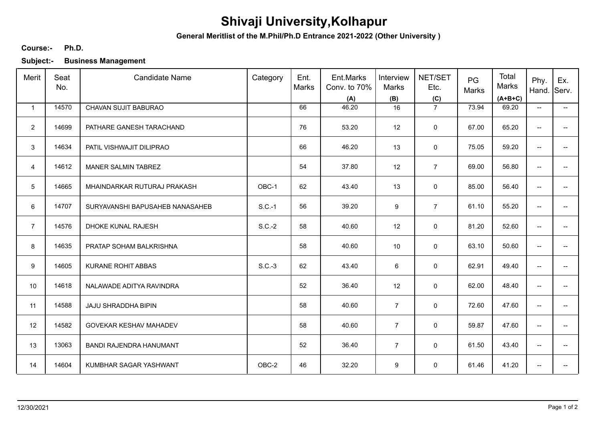## **Shivaji University,Kolhapur**

**General Meritlist of the M.Phil/Ph.D Entrance 2021-2022 (Other University )**

## **Ph.D. Course:-**

**Subject:- Business Management**

| Merit            | Seat<br>No. | <b>Candidate Name</b>           | Category | Ent.<br>Marks | Ent.Marks<br>Conv. to 70%<br>(A) | Interview<br>Marks<br>(B) | NET/SET<br>Etc.<br>(C) | PG<br>Marks | Total<br>Marks<br>$(A+B+C)$ | Phy.<br>Hand.            | Ex.<br>Serv.             |
|------------------|-------------|---------------------------------|----------|---------------|----------------------------------|---------------------------|------------------------|-------------|-----------------------------|--------------------------|--------------------------|
| $\overline{1}$   | 14570       | CHAVAN SUJIT BABURAO            |          | 66            | 46.20                            | 16                        | $\overline{7}$         | 73.94       | 69.20                       | $\overline{\phantom{a}}$ | ÷                        |
| $\overline{2}$   | 14699       | PATHARE GANESH TARACHAND        |          | 76            | 53.20                            | 12                        | $\mathbf 0$            | 67.00       | 65.20                       | $\overline{\phantom{a}}$ |                          |
| 3                | 14634       | PATIL VISHWAJIT DILIPRAO        |          | 66            | 46.20                            | 13                        | $\mathbf 0$            | 75.05       | 59.20                       | $\overline{\phantom{a}}$ |                          |
| $\overline{4}$   | 14612       | <b>MANER SALMIN TABREZ</b>      |          | 54            | 37.80                            | 12                        | $\overline{7}$         | 69.00       | 56.80                       | $\overline{\phantom{a}}$ | $\overline{\phantom{a}}$ |
| $5\phantom{.0}$  | 14665       | MHAINDARKAR RUTURAJ PRAKASH     | OBC-1    | 62            | 43.40                            | 13                        | 0                      | 85.00       | 56.40                       | $\overline{\phantom{a}}$ |                          |
| 6                | 14707       | SURYAVANSHI BAPUSAHEB NANASAHEB | $S.C.-1$ | 56            | 39.20                            | 9                         | $\overline{7}$         | 61.10       | 55.20                       | $\overline{\phantom{a}}$ | $\overline{\phantom{a}}$ |
| $\overline{7}$   | 14576       | DHOKE KUNAL RAJESH              | $S.C.-2$ | 58            | 40.60                            | 12                        | $\mathbf 0$            | 81.20       | 52.60                       | $\overline{\phantom{a}}$ | -−                       |
| 8                | 14635       | PRATAP SOHAM BALKRISHNA         |          | 58            | 40.60                            | 10                        | 0                      | 63.10       | 50.60                       | $\overline{\phantom{a}}$ | $\overline{\phantom{a}}$ |
| $\boldsymbol{9}$ | 14605       | <b>KURANE ROHIT ABBAS</b>       | $S.C.-3$ | 62            | 43.40                            | 6                         | 0                      | 62.91       | 49.40                       | $\overline{\phantom{a}}$ |                          |
| 10               | 14618       | NALAWADE ADITYA RAVINDRA        |          | 52            | 36.40                            | 12                        | $\mathbf 0$            | 62.00       | 48.40                       | $\overline{\phantom{a}}$ | $\overline{a}$           |
| 11               | 14588       | JAJU SHRADDHA BIPIN             |          | 58            | 40.60                            | $\overline{7}$            | $\mathsf{O}\xspace$    | 72.60       | 47.60                       | $\overline{\phantom{a}}$ | $-$                      |
| 12               | 14582       | GOVEKAR KESHAV MAHADEV          |          | 58            | 40.60                            | $\overline{7}$            | $\mathbf 0$            | 59.87       | 47.60                       | $\overline{\phantom{a}}$ | $\overline{\phantom{a}}$ |
| 13               | 13063       | BANDI RAJENDRA HANUMANT         |          | 52            | 36.40                            | $\overline{7}$            | 0                      | 61.50       | 43.40                       | $\overline{\phantom{a}}$ | $\overline{\phantom{a}}$ |
| 14               | 14604       | KUMBHAR SAGAR YASHWANT          | OBC-2    | 46            | 32.20                            | 9                         | 0                      | 61.46       | 41.20                       | $\overline{\phantom{a}}$ | -−                       |